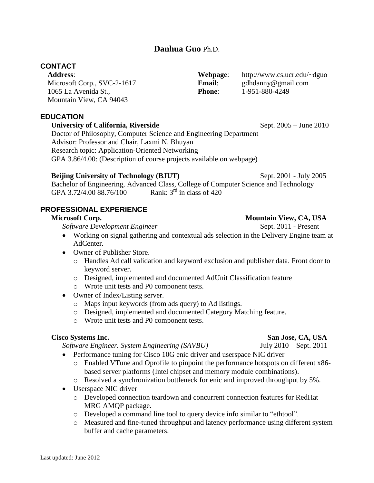## **Danhua Guo** Ph.D.

# **CONTACT**

**Address**: Microsoft Corp., SVC-2-1617 1065 La Avenida St., Mountain View, CA 94043

## **EDUCATION**

#### **University of California, Riverside Sept. 2005 – June 2010**

Doctor of Philosophy, Computer Science and Engineering Department Advisor: Professor and Chair, Laxmi N. Bhuyan Research topic: Application-Oriented Networking GPA 3.86/4.00: (Description of course projects available on webpage)

#### **Beijing University of Technology (BJUT)** Sept. 2001 - July 2005

Bachelor of Engineering, Advanced Class, College of Computer Science and Technology<br>
GPA 3 72/4 00 88 76/100 Rank:  $3^{rd}$  in class of 420 GPA 3.72/4.00 88.76/100

# **PROFESSIONAL EXPERIENCE**

## **Microsoft Corp.** Mountain View, CA, USA

*Software Development Engineer* **Sept. 2011** - Present

- Working on signal gathering and contextual ads selection in the Delivery Engine team at AdCenter.
- Owner of Publisher Store.
	- o Handles Ad call validation and keyword exclusion and publisher data. Front door to keyword server.
	- o Designed, implemented and documented AdUnit Classification feature
	- o Wrote unit tests and P0 component tests.
- Owner of Index/Listing server.
	- o Maps input keywords (from ads query) to Ad listings.
	- o Designed, implemented and documented Category Matching feature.
	- o Wrote unit tests and P0 component tests.

*Software Engineer. System Engineering (SAVBU)* July 2010 – Sept. 2011

- Performance tuning for Cisco 10G enic driver and userspace NIC driver
	- o Enabled VTune and Oprofile to pinpoint the performance hotspots on different x86 based server platforms (Intel chipset and memory module combinations).
	- o Resolved a synchronization bottleneck for enic and improved throughput by 5%.
- Userspace NIC driver
	- o Developed connection teardown and concurrent connection features for RedHat MRG AMQP package.
	- o Developed a command line tool to query device info similar to "ethtool".
	- o Measured and fine-tuned throughput and latency performance using different system buffer and cache parameters.

**Webpage**: http://www.cs.ucr.edu/~dguo

**Email**: gdhdanny@gmail.com

**Phone:** 1-951-880-4249

**Cisco Systems Inc. San Jose, CA, USA**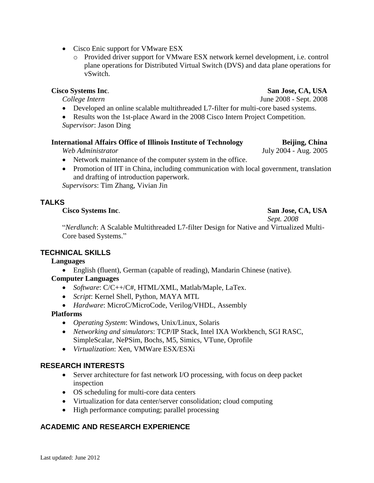Last updated: June 2012

- Cisco Enic support for VMware ESX
	- o Provided driver support for VMware ESX network kernel development, i.e. control plane operations for Distributed Virtual Switch (DVS) and data plane operations for vSwitch.

- Developed an online scalable multithreaded L7-filter for multi-core based systems.
- Results won the 1st-place Award in the 2008 Cisco Intern Project Competition.

*Supervisor*: Jason Ding

#### **International Affairs Office of Illinois Institute of Technology Beijing, China**

*Web Administrator* July 2004 - Aug. 2005

- Network maintenance of the computer system in the office.
- Promotion of IIT in China, including communication with local government, translation and drafting of introduction paperwork.

*Supervisors*: Tim Zhang, Vivian Jin

## **TALKS**

#### **Cisco Systems Inc**. **San Jose, CA, USA**

*Sept. 2008*

"*Nerdlunch*: A Scalable Multithreaded L7-filter Design for Native and Virtualized Multi-Core based Systems."

## **TECHNICAL SKILLS**

## **Languages**

English (fluent), German (capable of reading), Mandarin Chinese (native).

## **Computer Languages**

- *Software*: C/C++/C#, HTML/XML, Matlab/Maple, LaTex.
- *Script*: Kernel Shell, Python, MAYA MTL
- *Hardware*: MicroC/MicroCode, Verilog/VHDL, Assembly

## **Platforms**

- *Operating System*: Windows, Unix/Linux, Solaris
- *Networking and simulators*: TCP/IP Stack, Intel IXA Workbench, SGI RASC, SimpleScalar, NePSim, Bochs, M5, Simics, VTune, Oprofile
- *Virtualization*: Xen, VMWare ESX/ESXi

## **RESEARCH INTERESTS**

- Server architecture for fast network I/O processing, with focus on deep packet inspection
- OS scheduling for multi-core data centers
- Virtualization for data center/server consolidation; cloud computing
- High performance computing; parallel processing

## **ACADEMIC AND RESEARCH EXPERIENCE**

# **Cisco Systems Inc**. **San Jose, CA, USA**

*College Intern* June 2008 - Sept. 2008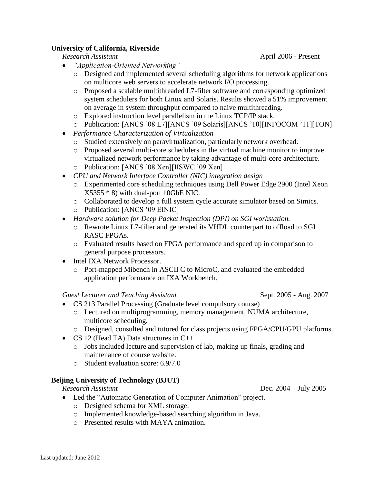## **University of California, Riverside**

- *"Application-Oriented Networking"*
	- o Designed and implemented several scheduling algorithms for network applications on multicore web servers to accelerate network I/O processing.
	- o Proposed a scalable multithreaded L7-filter software and corresponding optimized system schedulers for both Linux and Solaris. Results showed a 51% improvement on average in system throughput compared to naive multithreading.
	- o Explored instruction level parallelism in the Linux TCP/IP stack.
	- o Publication: [ANCS '08 L7][ANCS '09 Solaris][ANCS '10][INFOCOM '11][TON]
- *Performance Characterization of Virtualization*
	- o Studied extensively on paravirtualization, particularly network overhead.
	- o Proposed several multi-core schedulers in the virtual machine monitor to improve virtualized network performance by taking advantage of multi-core architecture.
	- o Publication: [ANCS '08 Xen][IISWC '09 Xen]
- *CPU and Network Interface Controller (NIC) integration design*
	- o Experimented core scheduling techniques using Dell Power Edge 2900 (Intel Xeon X5355 \* 8) with dual-port 10GbE NIC.
	- o Collaborated to develop a full system cycle accurate simulator based on Simics.
	- o Publication: [ANCS '09 EINIC]
- *Hardware solution for Deep Packet Inspection (DPI) on SGI workstation.* 
	- o Rewrote Linux L7-filter and generated its VHDL counterpart to offload to SGI RASC FPGAs.
	- o Evaluated results based on FPGA performance and speed up in comparison to general purpose processors.
- Intel IXA Network Processor.
	- o Port-mapped Mibench in ASCII C to MicroC, and evaluated the embedded application performance on IXA Workbench.

*Guest Lecturer and Teaching Assistant* Sept. 2005 - Aug. 2007

- CS 213 Parallel Processing (Graduate level compulsory course)
	- o Lectured on multiprogramming, memory management, NUMA architecture, multicore scheduling.
	- o Designed, consulted and tutored for class projects using FPGA/CPU/GPU platforms.
- CS 12 (Head TA) Data structures in  $C++$ 
	- $\circ$  Jobs included lecture and supervision of lab, making up finals, grading and maintenance of course website.
	- o Student evaluation score: 6.9/7.0

## **Beijing University of Technology (BJUT)**

*Research Assistant* Dec. 2004 – July 2005

- Led the "Automatic Generation of Computer Animation" project.
	- o Designed schema for XML storage.
	- o Implemented knowledge-based searching algorithm in Java.
	- o Presented results with MAYA animation.

*Research Assistant* April 2006 - Present